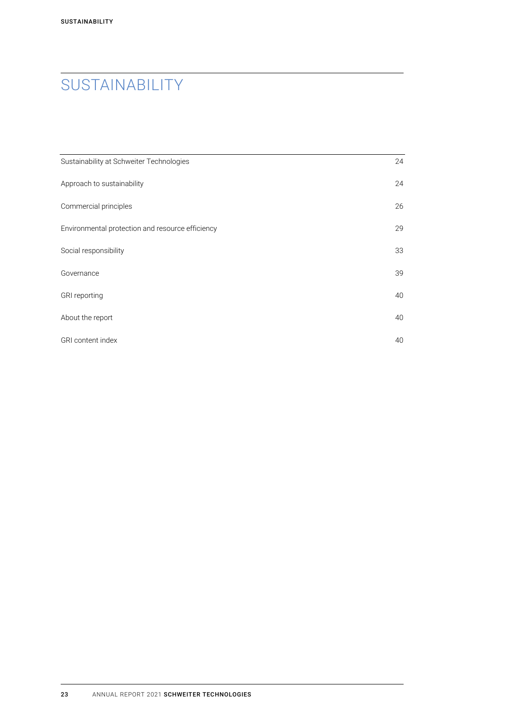# **SUSTAINABILITY**

| Sustainability at Schweiter Technologies         | 24 |
|--------------------------------------------------|----|
| Approach to sustainability                       | 24 |
| Commercial principles                            | 26 |
| Environmental protection and resource efficiency | 29 |
| Social responsibility                            | 33 |
| Governance                                       | 39 |
| GRI reporting                                    | 40 |
| About the report                                 | 40 |
| <b>GRI</b> content index                         | 40 |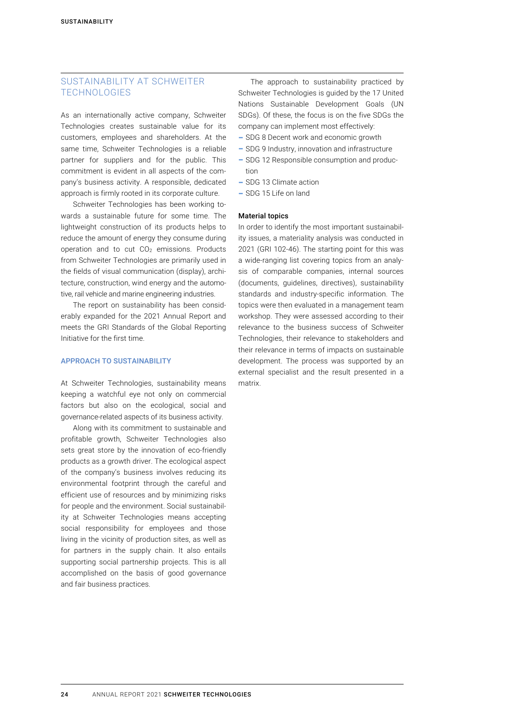# SUSTAINABILITY AT SCHWEITER TECHNOLOGIES

As an internationally active company, Schweiter Technologies creates sustainable value for its customers, employees and shareholders. At the same time, Schweiter Technologies is a reliable partner for suppliers and for the public. This commitment is evident in all aspects of the company's business activity. A responsible, dedicated approach is firmly rooted in its corporate culture.

Schweiter Technologies has been working towards a sustainable future for some time. The lightweight construction of its products helps to reduce the amount of energy they consume during operation and to cut CO2 emissions. Products from Schweiter Technologies are primarily used in the fields of visual communication (display), architecture, construction, wind energy and the automotive, rail vehicle and marine engineering industries.

The report on sustainability has been considerably expanded for the 2021 Annual Report and meets the GRI Standards of the Global Reporting Initiative for the first time.

#### APPROACH TO SUSTAINABILITY

At Schweiter Technologies, sustainability means keeping a watchful eye not only on commercial factors but also on the ecological, social and governance-related aspects of its business activity.

Along with its commitment to sustainable and profitable growth, Schweiter Technologies also sets great store by the innovation of eco-friendly products as a growth driver. The ecological aspect of the company's business involves reducing its environmental footprint through the careful and efficient use of resources and by minimizing risks for people and the environment. Social sustainability at Schweiter Technologies means accepting social responsibility for employees and those living in the vicinity of production sites, as well as for partners in the supply chain. It also entails supporting social partnership projects. This is all accomplished on the basis of good governance and fair business practices.

The approach to sustainability practiced by Schweiter Technologies is guided by the 17 United Nations Sustainable Development Goals (UN SDGs). Of these, the focus is on the five SDGs the company can implement most effectively:

- SDG 8 Decent work and economic growth
- SDG 9 Industry, innovation and infrastructure
- SDG 12 Responsible consumption and production
- SDG 13 Climate action
- SDG 15 Life on land

#### Material topics

In order to identify the most important sustainability issues, a materiality analysis was conducted in 2021 (GRI 102-46). The starting point for this was a wide-ranging list covering topics from an analysis of comparable companies, internal sources (documents, guidelines, directives), sustainability standards and industry-specific information. The topics were then evaluated in a management team workshop. They were assessed according to their relevance to the business success of Schweiter Technologies, their relevance to stakeholders and their relevance in terms of impacts on sustainable development. The process was supported by an external specialist and the result presented in a matrix.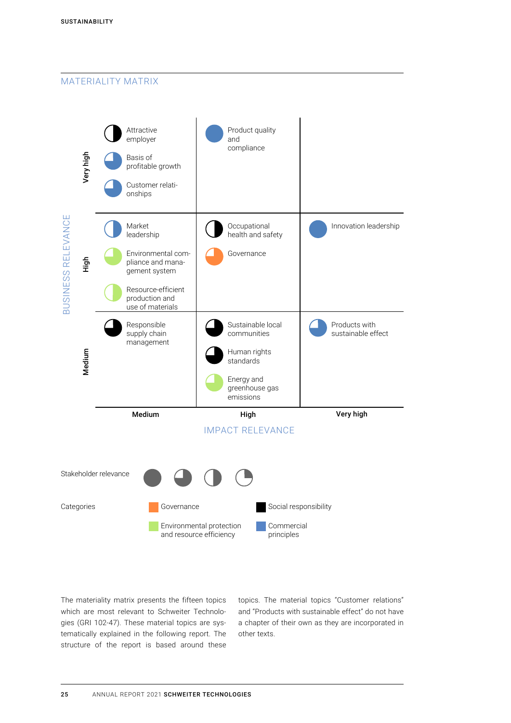# MATERIALITY MATRIX



The materiality matrix presents the fifteen topics which are most relevant to Schweiter Technologies (GRI 102-47). These material topics are systematically explained in the following report. The structure of the report is based around these topics. The material topics "Customer relations" and "Products with sustainable effect" do not have a chapter of their own as they are incorporated in other texts.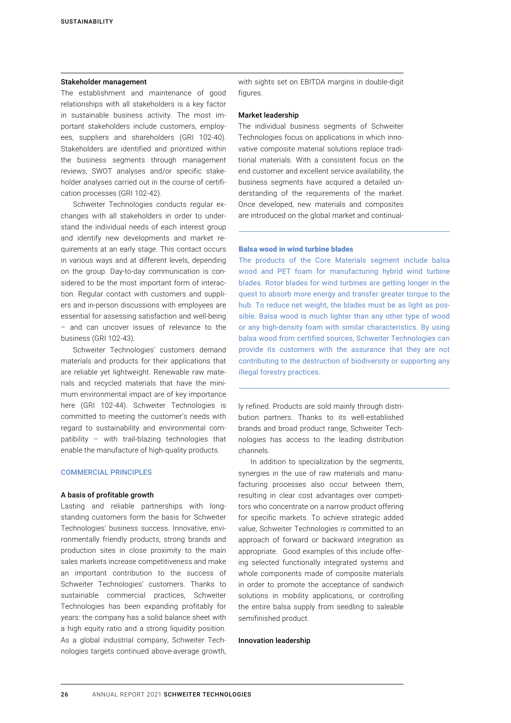#### <span id="page-3-0"></span>Stakeholder management

The establishment and maintenance of good relationships with all stakeholders is a key factor in sustainable business activity. The most important stakeholders include customers, employees, suppliers and shareholders (GRI 102-40). Stakeholders are identified and prioritized within the business segments through management reviews, SWOT analyses and/or specific stakeholder analyses carried out in the course of certification processes (GRI 102-42).

Schweiter Technologies conducts regular exchanges with all stakeholders in order to understand the individual needs of each interest group and identify new developments and market requirements at an early stage. This contact occurs in various ways and at different levels, depending on the group. Day-to-day communication is considered to be the most important form of interaction. Regular contact with customers and suppliers and in-person discussions with employees are essential for assessing satisfaction and well-being – and can uncover issues of relevance to the business (GRI 102-43).

Schweiter Technologies' customers demand materials and products for their applications that are reliable yet lightweight. Renewable raw materials and recycled materials that have the minimum environmental impact are of key importance here (GRI 102-44). Schweiter Technologies is committed to meeting the customer's needs with regard to sustainability and environmental compatibility – with trail-blazing technologies that enable the manufacture of high-quality products.

#### COMMERCIAL PRINCIPLES

#### A basis of profitable growth

Lasting and reliable partnerships with longstanding customers form the basis for Schweiter Technologies' business success. Innovative, environmentally friendly products, strong brands and production sites in close proximity to the main sales markets increase competitiveness and make an important contribution to the success of Schweiter Technologies' customers. Thanks to sustainable commercial practices, Schweiter Technologies has been expanding profitably for years: the company has a solid balance sheet with a high equity ratio and a strong liquidity position. As a global industrial company, Schweiter Technologies targets continued above-average growth,

with sights set on EBITDA margins in double-digit figures.

#### Market leadership

The individual business segments of Schweiter Technologies focus on applications in which innovative composite material solutions replace traditional materials. With a consistent focus on the end customer and excellent service availability, the business segments have acquired a detailed understanding of the requirements of the market. Once developed, new materials and composites are introduced on the global market and continual-

#### Balsa wood in wind turbine blades

The products of the Core Materials segment include balsa wood and PET foam for manufacturing hybrid wind turbine blades. Rotor blades for wind turbines are getting longer in the quest to absorb more energy and transfer greater torque to the hub. To reduce net weight, the blades must be as light as possible. Balsa wood is much lighter than any other type of wood or any high-density foam with similar characteristics. By using balsa wood from certified sources, Schweiter Technologies can provide its customers with the assurance that they are not contributing to the destruction of biodiversity or supporting any illegal forestry practices.

ly refined. Products are sold mainly through distribution partners. Thanks to its well-established brands and broad product range, Schweiter Technologies has access to the leading distribution channels.

In addition to specialization by the segments, synergies in the use of raw materials and manufacturing processes also occur between them, resulting in clear cost advantages over competitors who concentrate on a narrow product offering for specific markets. To achieve strategic added value, Schweiter Technologies is committed to an approach of forward or backward integration as appropriate. Good examples of this include offering selected functionally integrated systems and whole components made of composite materials in order to promote the acceptance of sandwich solutions in mobility applications, or controlling the entire balsa supply from seedling to saleable semifinished product.

#### Innovation leadership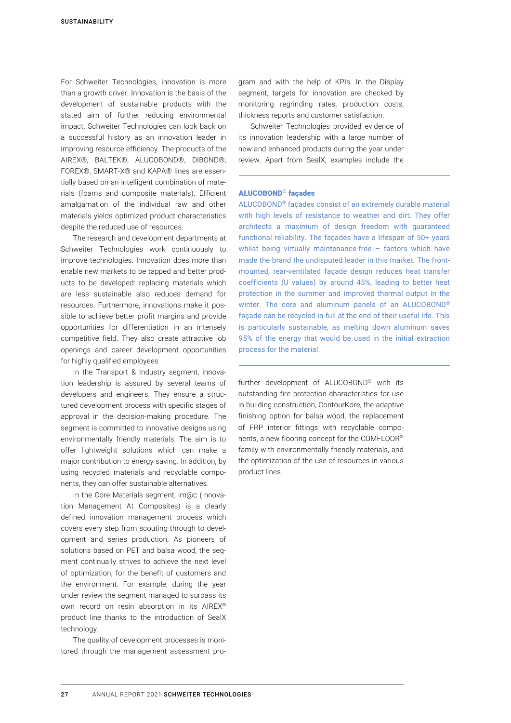For Schweiter Technologies, innovation is more than a growth driver. Innovation is the basis of the development of sustainable products with the stated aim of further reducing environmental impact. Schweiter Technologies can look back on a successful history as an innovation leader in improving resource efficiency. The products of the AIREX®, BALTEK®, ALUCOBOND®, DIBOND®, FOREX®, SMART-X® and KAPA® lines are essentially based on an intelligent combination of materials (foams and composite materials). Efficient amalgamation of the individual raw and other materials yields optimized product characteristics despite the reduced use of resources.

The research and development departments at Schweiter Technologies work continuously to improve technologies. Innovation does more than enable new markets to be tapped and better products to be developed: replacing materials which are less sustainable also reduces demand for resources. Furthermore, innovations make it possible to achieve better profit margins and provide opportunities for differentiation in an intensely competitive field. They also create attractive job openings and career development opportunities for highly qualified employees.

In the Transport & Industry segment, innovation leadership is assured by several teams of developers and engineers. They ensure a structured development process with specific stages of approval in the decision-making procedure. The segment is committed to innovative designs using environmentally friendly materials. The aim is to offer lightweight solutions which can make a major contribution to energy saving. In addition, by using recycled materials and recyclable components, they can offer sustainable alternatives.

In the Core Materials segment, im@c (Innovation Management At Composites) is a clearly defined innovation management process which covers every step from scouting through to development and series production. As pioneers of solutions based on PET and balsa wood, the segment continually strives to achieve the next level of optimization, for the benefit of customers and the environment. For example, during the year under review the segment managed to surpass its own record on resin absorption in its AIREX® product line thanks to the introduction of SealX technology.

The quality of development processes is monitored through the management assessment program and with the help of KPIs. In the Display segment, targets for innovation are checked by monitoring regrinding rates, production costs, thickness reports and customer satisfaction.

Schweiter Technologies provided evidence of its innovation leadership with a large number of new and enhanced products during the year under review. Apart from SealX, examples include the

## ALUCOBOND® façades

ALUCOBOND® façades consist of an extremely durable material with high levels of resistance to weather and dirt. They offer architects a maximum of design freedom with guaranteed functional reliability. The façades have a lifespan of 50+ years whilst being virtually maintenance-free - factors which have made the brand the undisputed leader in this market. The frontmounted, rear-ventilated façade design reduces heat transfer coefficients (U values) by around 45%, leading to better heat protection in the summer and improved thermal output in the winter. The core and aluminum panels of an ALUCOBOND® façade can be recycled in full at the end of their useful life. This is particularly sustainable, as melting down aluminum saves 95% of the energy that would be used in the initial extraction process for the material.

further development of ALUCOBOND® with its outstanding fire protection characteristics for use in building construction, ContourKore, the adaptive finishing option for balsa wood, the replacement of FRP interior fittings with recyclable components, a new flooring concept for the COMFLOOR® family with environmentally friendly materials, and the optimization of the use of resources in various product lines.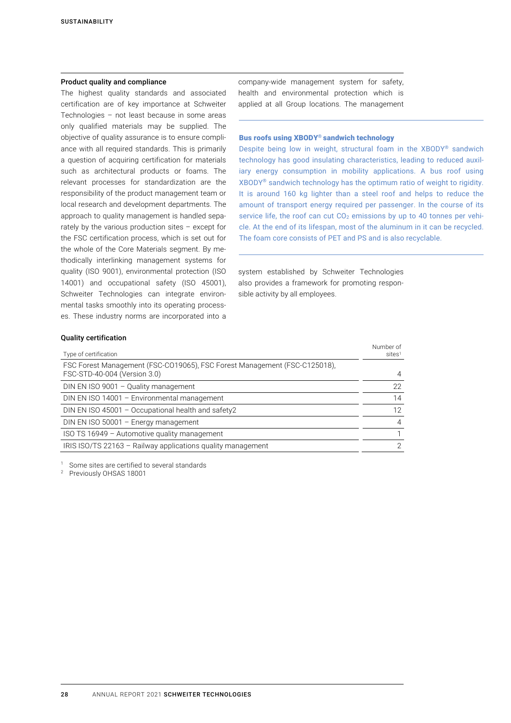#### Product quality and compliance

The highest quality standards and associated certification are of key importance at Schweiter Technologies – not least because in some areas only qualified materials may be supplied. The objective of quality assurance is to ensure compliance with all required standards. This is primarily a question of acquiring certification for materials such as architectural products or foams. The relevant processes for standardization are the responsibility of the product management team or local research and development departments. The approach to quality management is handled separately by the various production sites – except for the FSC certification process, which is set out for the whole of the Core Materials segment. By methodically interlinking management systems for quality (ISO 9001), environmental protection (ISO 14001) and occupational safety (ISO 45001), Schweiter Technologies can integrate environmental tasks smoothly into its operating processes. These industry norms are incorporated into a

company-wide management system for safety, health and environmental protection which is applied at all Group locations. The management

#### Bus roofs using XBODY® sandwich technology

Despite being low in weight, structural foam in the XBODY® sandwich technology has good insulating characteristics, leading to reduced auxiliary energy consumption in mobility applications. A bus roof using XBODY® sandwich technology has the optimum ratio of weight to rigidity. It is around 160 kg lighter than a steel roof and helps to reduce the amount of transport energy required per passenger. In the course of its service life, the roof can cut CO<sub>2</sub> emissions by up to 40 tonnes per vehicle. At the end of its lifespan, most of the aluminum in it can be recycled. The foam core consists of PET and PS and is also recyclable.

system established by Schweiter Technologies also provides a framework for promoting responsible activity by all employees.

#### Quality certification

| Type of certification                                                                                     | Number of<br>sites <sup>1</sup> |
|-----------------------------------------------------------------------------------------------------------|---------------------------------|
| FSC Forest Management (FSC-C019065), FSC Forest Management (FSC-C125018),<br>FSC-STD-40-004 (Version 3.0) | $\overline{4}$                  |
| DIN EN ISO 9001 - Quality management                                                                      | 22                              |
| DIN EN ISO 14001 - Environmental management                                                               | 14                              |
| DIN EN ISO 45001 - Occupational health and safety2                                                        | 12                              |
| DIN EN ISO 50001 - Energy management                                                                      | $\overline{4}$                  |
| ISO TS 16949 - Automotive quality management                                                              |                                 |
| IRIS ISO/TS 22163 - Railway applications quality management                                               | $\mathcal{P}$                   |

<sup>1</sup> Some sites are certified to several standards

<sup>2</sup> Previously OHSAS 18001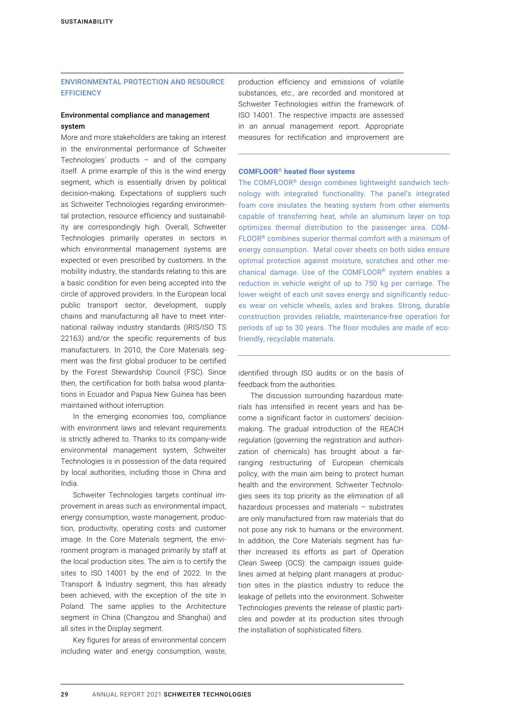## <span id="page-6-0"></span>ENVIRONMENTAL PROTECTION AND RESOURCE **EFFICIENCY**

#### Environmental compliance and management system

More and more stakeholders are taking an interest in the environmental performance of Schweiter Technologies' products – and of the company itself. A prime example of this is the wind energy segment, which is essentially driven by political decision-making. Expectations of suppliers such as Schweiter Technologies regarding environmental protection, resource efficiency and sustainability are correspondingly high. Overall, Schweiter Technologies primarily operates in sectors in which environmental management systems are expected or even prescribed by customers. In the mobility industry, the standards relating to this are a basic condition for even being accepted into the circle of approved providers. In the European local public transport sector, development, supply chains and manufacturing all have to meet international railway industry standards (IRIS/ISO TS 22163) and/or the specific requirements of bus manufacturers. In 2010, the Core Materials segment was the first global producer to be certified by the Forest Stewardship Council (FSC). Since then, the certification for both balsa wood plantations in Ecuador and Papua New Guinea has been maintained without interruption.

In the emerging economies too, compliance with environment laws and relevant requirements is strictly adhered to. Thanks to its company-wide environmental management system, Schweiter Technologies is in possession of the data required by local authorities, including those in China and India.

Schweiter Technologies targets continual improvement in areas such as environmental impact, energy consumption, waste management, production, productivity, operating costs and customer image. In the Core Materials segment, the environment program is managed primarily by staff at the local production sites. The aim is to certify the sites to ISO 14001 by the end of 2022. In the Transport & Industry segment, this has already been achieved, with the exception of the site in Poland. The same applies to the Architecture segment in China (Changzou and Shanghai) and all sites in the Display segment.

Key figures for areas of environmental concern including water and energy consumption, waste, production efficiency and emissions of volatile substances, etc., are recorded and monitored at Schweiter Technologies within the framework of ISO 14001. The respective impacts are assessed in an annual management report. Appropriate measures for rectification and improvement are

#### COMFLOOR® heated floor systems

The COMFLOOR® design combines lightweight sandwich technology with integrated functionality. The panel's integrated foam core insulates the heating system from other elements capable of transferring heat, while an aluminum layer on top optimizes thermal distribution to the passenger area. COM-FLOOR® combines superior thermal comfort with a minimum of energy consumption. Metal cover sheets on both sides ensure optimal protection against moisture, scratches and other mechanical damage. Use of the COMFLOOR® system enables a reduction in vehicle weight of up to 750 kg per carriage. The lower weight of each unit saves energy and significantly reduces wear on vehicle wheels, axles and brakes. Strong, durable construction provides reliable, maintenance-free operation for periods of up to 30 years. The floor modules are made of ecofriendly, recyclable materials.

identified through ISO audits or on the basis of feedback from the authorities.

The discussion surrounding hazardous materials has intensified in recent years and has become a significant factor in customers' decisionmaking. The gradual introduction of the REACH regulation (governing the registration and authorization of chemicals) has brought about a farranging restructuring of European chemicals policy, with the main aim being to protect human health and the environment. Schweiter Technologies sees its top priority as the elimination of all hazardous processes and materials – substrates are only manufactured from raw materials that do not pose any risk to humans or the environment. In addition, the Core Materials segment has further increased its efforts as part of Operation Clean Sweep (OCS): the campaign issues guidelines aimed at helping plant managers at production sites in the plastics industry to reduce the leakage of pellets into the environment. Schweiter Technologies prevents the release of plastic particles and powder at its production sites through the installation of sophisticated filters.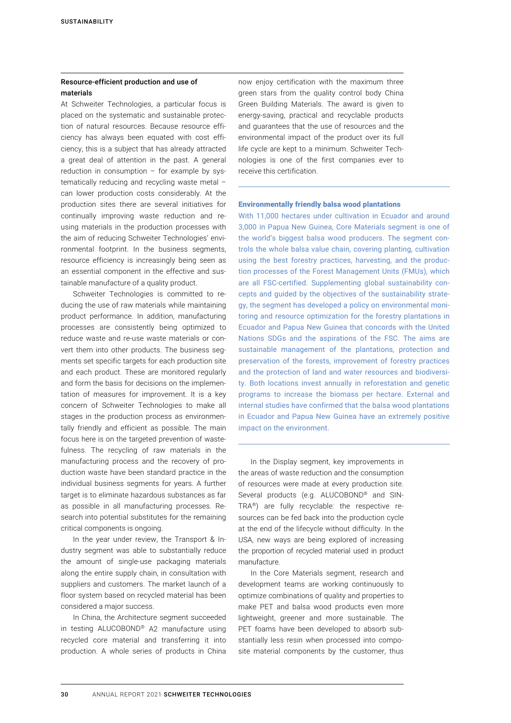# Resource-efficient production and use of materials

At Schweiter Technologies, a particular focus is placed on the systematic and sustainable protection of natural resources. Because resource efficiency has always been equated with cost efficiency, this is a subject that has already attracted a great deal of attention in the past. A general reduction in consumption  $-$  for example by systematically reducing and recycling waste metal – can lower production costs considerably. At the production sites there are several initiatives for continually improving waste reduction and reusing materials in the production processes with the aim of reducing Schweiter Technologies' environmental footprint. In the business segments, resource efficiency is increasingly being seen as an essential component in the effective and sustainable manufacture of a quality product.

Schweiter Technologies is committed to reducing the use of raw materials while maintaining product performance. In addition, manufacturing processes are consistently being optimized to reduce waste and re-use waste materials or convert them into other products. The business segments set specific targets for each production site and each product. These are monitored regularly and form the basis for decisions on the implementation of measures for improvement. It is a key concern of Schweiter Technologies to make all stages in the production process as environmentally friendly and efficient as possible. The main focus here is on the targeted prevention of wastefulness. The recycling of raw materials in the manufacturing process and the recovery of production waste have been standard practice in the individual business segments for years. A further target is to eliminate hazardous substances as far as possible in all manufacturing processes. Research into potential substitutes for the remaining critical components is ongoing.

In the year under review, the Transport & Industry segment was able to substantially reduce the amount of single-use packaging materials along the entire supply chain, in consultation with suppliers and customers. The market launch of a floor system based on recycled material has been considered a major success.

In China, the Architecture segment succeeded in testing ALUCOBOND® A2 manufacture using recycled core material and transferring it into production. A whole series of products in China now enjoy certification with the maximum three green stars from the quality control body China Green Building Materials. The award is given to energy-saving, practical and recyclable products and guarantees that the use of resources and the environmental impact of the product over its full life cycle are kept to a minimum. Schweiter Technologies is one of the first companies ever to receive this certification.

#### Environmentally friendly balsa wood plantations

With 11,000 hectares under cultivation in Ecuador and around 3,000 in Papua New Guinea, Core Materials segment is one of the world's biggest balsa wood producers. The segment controls the whole balsa value chain, covering planting, cultivation using the best forestry practices, harvesting, and the production processes of the Forest Management Units (FMUs), which are all FSC-certified. Supplementing global sustainability concepts and guided by the objectives of the sustainability strategy, the segment has developed a policy on environmental monitoring and resource optimization for the forestry plantations in Ecuador and Papua New Guinea that concords with the United Nations SDGs and the aspirations of the FSC. The aims are sustainable management of the plantations, protection and preservation of the forests, improvement of forestry practices and the protection of land and water resources and biodiversity. Both locations invest annually in reforestation and genetic programs to increase the biomass per hectare. External and internal studies have confirmed that the balsa wood plantations in Ecuador and Papua New Guinea have an extremely positive impact on the environment.

In the Display segment, key improvements in the areas of waste reduction and the consumption of resources were made at every production site. Several products (e.g. ALUCOBOND® and SIN-TRA®) are fully recyclable: the respective resources can be fed back into the production cycle at the end of the lifecycle without difficulty. In the USA, new ways are being explored of increasing the proportion of recycled material used in product manufacture.

In the Core Materials segment, research and development teams are working continuously to optimize combinations of quality and properties to make PET and balsa wood products even more lightweight, greener and more sustainable. The PET foams have been developed to absorb substantially less resin when processed into composite material components by the customer, thus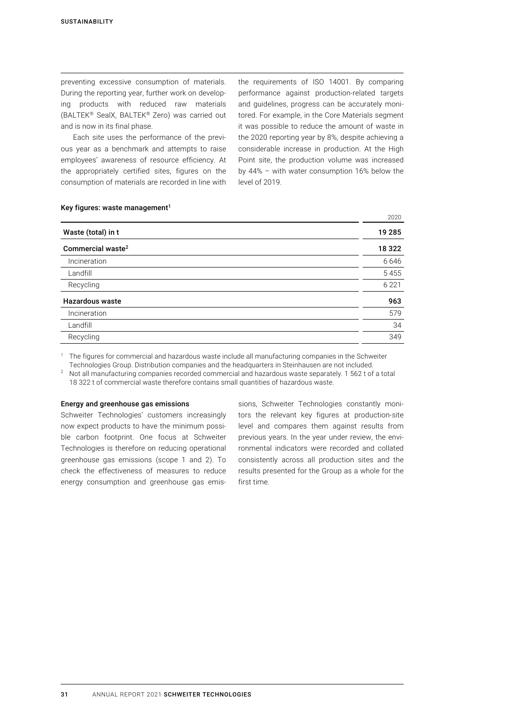preventing excessive consumption of materials. During the reporting year, further work on developing products with reduced raw materials (BALTEK® SealX, BALTEK® Zero) was carried out and is now in its final phase.

Each site uses the performance of the previous year as a benchmark and attempts to raise employees' awareness of resource efficiency. At the appropriately certified sites, figures on the consumption of materials are recorded in line with the requirements of ISO 14001. By comparing performance against production-related targets and guidelines, progress can be accurately monitored. For example, in the Core Materials segment it was possible to reduce the amount of waste in the 2020 reporting year by 8%, despite achieving a considerable increase in production. At the High Point site, the production volume was increased by 44% – with water consumption 16% below the level of 2019.

2020

#### Key figures: waste management $1$

| Waste (total) in t            | 19 285  |
|-------------------------------|---------|
| Commercial waste <sup>2</sup> | 18 3 22 |
| Incineration                  | 6646    |
| Landfill                      | 5455    |
| Recycling                     | 6 2 2 1 |
| <b>Hazardous waste</b>        | 963     |
| Incineration                  | 579     |
| Landfill                      | 34      |
| Recycling                     | 349     |
|                               |         |

<sup>1</sup> The figures for commercial and hazardous waste include all manufacturing companies in the Schweiter Technologies Group. Distribution companies and the headquarters in Steinhausen are not included.

<sup>2</sup> Not all manufacturing companies recorded commercial and hazardous waste separately. 1 562 t of a total 18 322 t of commercial waste therefore contains small quantities of hazardous waste.

#### Energy and greenhouse gas emissions

Schweiter Technologies' customers increasingly now expect products to have the minimum possible carbon footprint. One focus at Schweiter Technologies is therefore on reducing operational greenhouse gas emissions (scope 1 and 2). To check the effectiveness of measures to reduce energy consumption and greenhouse gas emissions, Schweiter Technologies constantly monitors the relevant key figures at production-site level and compares them against results from previous years. In the year under review, the environmental indicators were recorded and collated consistently across all production sites and the results presented for the Group as a whole for the first time.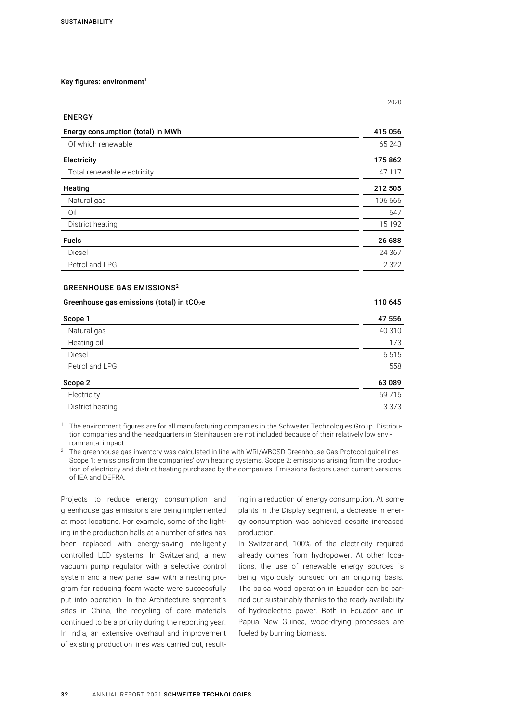#### Key figures: environment<sup>1</sup>

|                                   | 2020     |
|-----------------------------------|----------|
| <b>ENERGY</b>                     |          |
| Energy consumption (total) in MWh | 415 056  |
| Of which renewable                | 65 243   |
| <b>Electricity</b>                | 175 862  |
| Total renewable electricity       | 47 117   |
| Heating                           | 212 505  |
| Natural gas                       | 196 666  |
| Oil                               | 647      |
| District heating                  | 15 1 9 2 |
| <b>Fuels</b>                      | 26 688   |
| Diesel                            | 24 3 67  |
| Petrol and LPG                    | 2 3 2 2  |

#### GREENHOUSE GAS EMISSIONS2

| Greenhouse gas emissions (total) in tCO <sub>2</sub> e | 110 645 |
|--------------------------------------------------------|---------|
| Scope 1                                                | 47 556  |
| Natural gas                                            | 40 310  |
| Heating oil                                            | 173     |
| Diesel                                                 | 6515    |
| Petrol and LPG                                         | 558     |
| Scope 2                                                | 63 089  |
| Electricity                                            | 59716   |
| District heating                                       | 3 3 7 3 |
|                                                        |         |

<sup>1</sup> The environment figures are for all manufacturing companies in the Schweiter Technologies Group. Distribution companies and the headquarters in Steinhausen are not included because of their relatively low environmental impact.

<sup>2</sup> The greenhouse gas inventory was calculated in line with WRI/WBCSD Greenhouse Gas Protocol guidelines. Scope 1: emissions from the companies' own heating systems. Scope 2: emissions arising from the production of electricity and district heating purchased by the companies. Emissions factors used: current versions of IEA and DEFRA.

Projects to reduce energy consumption and greenhouse gas emissions are being implemented at most locations. For example, some of the lighting in the production halls at a number of sites has been replaced with energy-saving intelligently controlled LED systems. In Switzerland, a new vacuum pump regulator with a selective control system and a new panel saw with a nesting program for reducing foam waste were successfully put into operation. In the Architecture segment's sites in China, the recycling of core materials continued to be a priority during the reporting year. In India, an extensive overhaul and improvement of existing production lines was carried out, resulting in a reduction of energy consumption. At some plants in the Display segment, a decrease in energy consumption was achieved despite increased production.

In Switzerland, 100% of the electricity required already comes from hydropower. At other locations, the use of renewable energy sources is being vigorously pursued on an ongoing basis. The balsa wood operation in Ecuador can be carried out sustainably thanks to the ready availability of hydroelectric power. Both in Ecuador and in Papua New Guinea, wood-drying processes are fueled by burning biomass.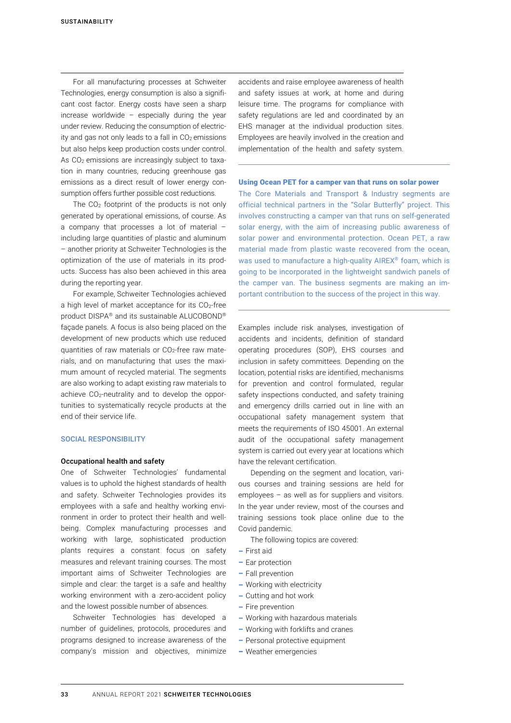For all manufacturing processes at Schweiter Technologies, energy consumption is also a significant cost factor. Energy costs have seen a sharp increase worldwide – especially during the year under review. Reducing the consumption of electricity and gas not only leads to a fall in  $CO<sub>2</sub>$  emissions but also helps keep production costs under control. As CO<sub>2</sub> emissions are increasingly subject to taxation in many countries, reducing greenhouse gas emissions as a direct result of lower energy consumption offers further possible cost reductions.

The CO2 footprint of the products is not only generated by operational emissions, of course. As a company that processes a lot of material – including large quantities of plastic and aluminum – another priority at Schweiter Technologies is the optimization of the use of materials in its products. Success has also been achieved in this area during the reporting year.

For example, Schweiter Technologies achieved a high level of market acceptance for its CO<sub>2</sub>-free product DISPA® and its sustainable ALUCOBOND® façade panels. A focus is also being placed on the development of new products which use reduced quantities of raw materials or CO<sub>2</sub>-free raw materials, and on manufacturing that uses the maximum amount of recycled material. The segments are also working to adapt existing raw materials to achieve CO<sub>2</sub>-neutrality and to develop the opportunities to systematically recycle products at the end of their service life.

### SOCIAL RESPONSIBILITY

#### Occupational health and safety

One of Schweiter Technologies' fundamental values is to uphold the highest standards of health and safety. Schweiter Technologies provides its employees with a safe and healthy working environment in order to protect their health and wellbeing. Complex manufacturing processes and working with large, sophisticated production plants requires a constant focus on safety measures and relevant training courses. The most important aims of Schweiter Technologies are simple and clear: the target is a safe and healthy working environment with a zero-accident policy and the lowest possible number of absences.

Schweiter Technologies has developed a number of guidelines, protocols, procedures and programs designed to increase awareness of the company's mission and objectives, minimize accidents and raise employee awareness of health and safety issues at work, at home and during leisure time. The programs for compliance with safety regulations are led and coordinated by an EHS manager at the individual production sites. Employees are heavily involved in the creation and implementation of the health and safety system.

#### Using Ocean PET for a camper van that runs on solar power

The Core Materials and Transport & Industry segments are official technical partners in the "Solar Butterfly" project. This involves constructing a camper van that runs on self-generated solar energy, with the aim of increasing public awareness of solar power and environmental protection. Ocean PET, a raw material made from plastic waste recovered from the ocean, was used to manufacture a high-quality AIREX<sup>®</sup> foam, which is going to be incorporated in the lightweight sandwich panels of the camper van. The business segments are making an important contribution to the success of the project in this way.

Examples include risk analyses, investigation of accidents and incidents, definition of standard operating procedures (SOP), EHS courses and inclusion in safety committees. Depending on the location, potential risks are identified, mechanisms for prevention and control formulated, regular safety inspections conducted, and safety training and emergency drills carried out in line with an occupational safety management system that meets the requirements of ISO 45001. An external audit of the occupational safety management system is carried out every year at locations which have the relevant certification.

Depending on the segment and location, various courses and training sessions are held for employees – as well as for suppliers and visitors. In the year under review, most of the courses and training sessions took place online due to the Covid pandemic.

The following topics are covered:

- $-$  First aid
- $-$  Ear protection
- Fall prevention
- Working with electricity
- Cutting and hot work
- $-$  Fire prevention
- Working with hazardous materials
- Working with forklifts and cranes
- Personal protective equipment
- Weather emergencies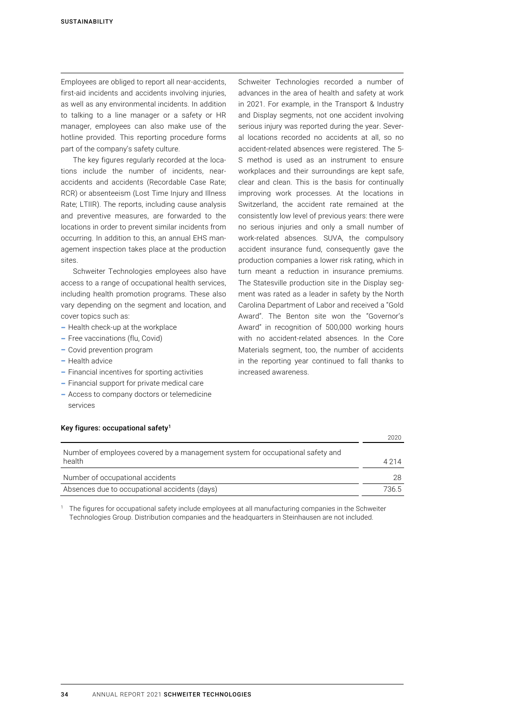Employees are obliged to report all near-accidents, first-aid incidents and accidents involving injuries, as well as any environmental incidents. In addition to talking to a line manager or a safety or HR manager, employees can also make use of the hotline provided. This reporting procedure forms part of the company's safety culture.

The key figures regularly recorded at the locations include the number of incidents, nearaccidents and accidents (Recordable Case Rate; RCR) or absenteeism (Lost Time Injury and Illness Rate; LTIIR). The reports, including cause analysis and preventive measures, are forwarded to the locations in order to prevent similar incidents from occurring. In addition to this, an annual EHS management inspection takes place at the production sites.

Schweiter Technologies employees also have access to a range of occupational health services, including health promotion programs. These also vary depending on the segment and location, and cover topics such as:

- Health check-up at the workplace
- Free vaccinations (flu, Covid)
- Covid prevention program
- Health advice
- Financial incentives for sporting activities
- Financial support for private medical care
- Access to company doctors or telemedicine services

Schweiter Technologies recorded a number of advances in the area of health and safety at work in 2021. For example, in the Transport & Industry and Display segments, not one accident involving serious injury was reported during the year. Several locations recorded no accidents at all, so no accident-related absences were registered. The 5- S method is used as an instrument to ensure workplaces and their surroundings are kept safe, clear and clean. This is the basis for continually improving work processes. At the locations in Switzerland, the accident rate remained at the consistently low level of previous years: there were no serious injuries and only a small number of work-related absences. SUVA, the compulsory accident insurance fund, consequently gave the production companies a lower risk rating, which in turn meant a reduction in insurance premiums. The Statesville production site in the Display segment was rated as a leader in safety by the North Carolina Department of Labor and received a "Gold Award". The Benton site won the "Governor's Award" in recognition of 500,000 working hours with no accident-related absences. In the Core Materials segment, too, the number of accidents in the reporting year continued to fall thanks to increased awareness.

|                                                                                | 2020    |
|--------------------------------------------------------------------------------|---------|
| Number of employees covered by a management system for occupational safety and |         |
| health                                                                         | 4 2 1 4 |
| Number of occupational accidents                                               | 28      |
| Absences due to occupational accidents (days)                                  | 736.5   |
|                                                                                |         |

<sup>1</sup> The figures for occupational safety include employees at all manufacturing companies in the Schweiter Technologies Group. Distribution companies and the headquarters in Steinhausen are not included.

#### Key figures: occupational safety<sup>1</sup>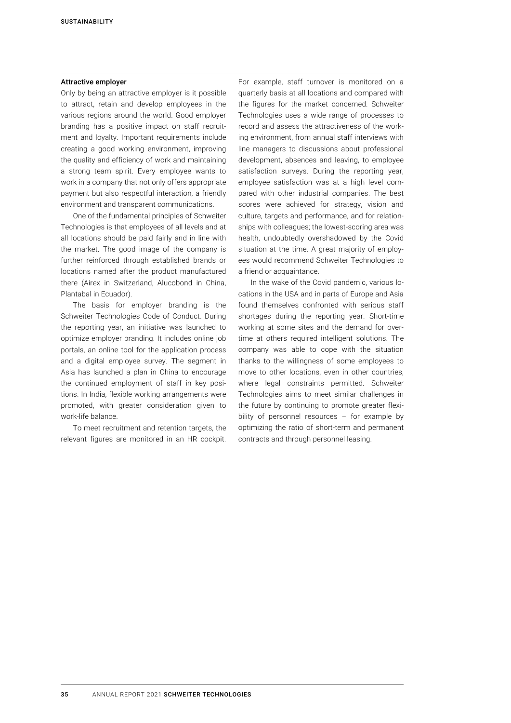## Attractive employer

Only by being an attractive employer is it possible to attract, retain and develop employees in the various regions around the world. Good employer branding has a positive impact on staff recruitment and loyalty. Important requirements include creating a good working environment, improving the quality and efficiency of work and maintaining a strong team spirit. Every employee wants to work in a company that not only offers appropriate payment but also respectful interaction, a friendly environment and transparent communications.

One of the fundamental principles of Schweiter Technologies is that employees of all levels and at all locations should be paid fairly and in line with the market. The good image of the company is further reinforced through established brands or locations named after the product manufactured there (Airex in Switzerland, Alucobond in China, Plantabal in Ecuador).

The basis for employer branding is the Schweiter Technologies Code of Conduct. During the reporting year, an initiative was launched to optimize employer branding. It includes online job portals, an online tool for the application process and a digital employee survey. The segment in Asia has launched a plan in China to encourage the continued employment of staff in key positions. In India, flexible working arrangements were promoted, with greater consideration given to work-life balance.

To meet recruitment and retention targets, the relevant figures are monitored in an HR cockpit. For example, staff turnover is monitored on a quarterly basis at all locations and compared with the figures for the market concerned. Schweiter Technologies uses a wide range of processes to record and assess the attractiveness of the working environment, from annual staff interviews with line managers to discussions about professional development, absences and leaving, to employee satisfaction surveys. During the reporting year, employee satisfaction was at a high level compared with other industrial companies. The best scores were achieved for strategy, vision and culture, targets and performance, and for relationships with colleagues; the lowest-scoring area was health, undoubtedly overshadowed by the Covid situation at the time. A great majority of employees would recommend Schweiter Technologies to a friend or acquaintance.

In the wake of the Covid pandemic, various locations in the USA and in parts of Europe and Asia found themselves confronted with serious staff shortages during the reporting year. Short-time working at some sites and the demand for overtime at others required intelligent solutions. The company was able to cope with the situation thanks to the willingness of some employees to move to other locations, even in other countries, where legal constraints permitted. Schweiter Technologies aims to meet similar challenges in the future by continuing to promote greater flexibility of personnel resources – for example by optimizing the ratio of short-term and permanent contracts and through personnel leasing.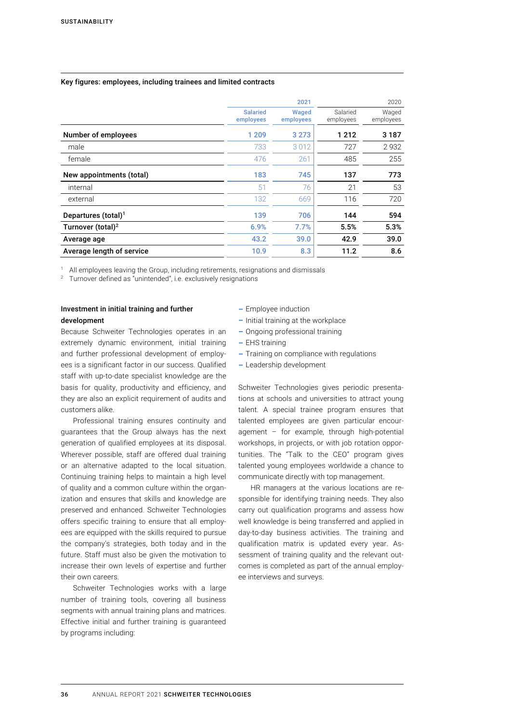## Key figures: employees, including trainees and limited contracts

|                                 |                              | 2021               |                       | 2020               |
|---------------------------------|------------------------------|--------------------|-----------------------|--------------------|
|                                 | <b>Salaried</b><br>employees | Waged<br>employees | Salaried<br>employees | Waged<br>employees |
| Number of employees             | 1 2 0 9                      | 3 2 7 3            | 1 2 1 2               | 3 1 8 7            |
| male                            | 733                          | 3012               | 727                   | 2932               |
| female                          | 476                          | 261                | 485                   | 255                |
| New appointments (total)        | 183                          | 745                | 137                   | 773                |
| internal                        | 51                           | 76                 | 21                    | 53                 |
| external                        | 132                          | 669                | 116                   | 720                |
| Departures (total) <sup>1</sup> | 139                          | 706                | 144                   | 594                |
| Turnover (total) <sup>2</sup>   | 6.9%                         | 7.7%               | 5.5%                  | 5.3%               |
| Average age                     | 43.2                         | 39.0               | 42.9                  | 39.0               |
| Average length of service       | 10.9                         | 8.3                | 11.2                  | 8.6                |

<sup>1</sup> All employees leaving the Group, including retirements, resignations and dismissals <sup>2</sup> Turnover defined as "unintended", i.e. exclusively resignations

## Investment in initial training and further development

Because Schweiter Technologies operates in an extremely dynamic environment, initial training and further professional development of employees is a significant factor in our success. Qualified staff with up-to-date specialist knowledge are the basis for quality, productivity and efficiency, and they are also an explicit requirement of audits and customers alike.

Professional training ensures continuity and guarantees that the Group always has the next generation of qualified employees at its disposal. Wherever possible, staff are offered dual training or an alternative adapted to the local situation. Continuing training helps to maintain a high level of quality and a common culture within the organization and ensures that skills and knowledge are preserved and enhanced. Schweiter Technologies offers specific training to ensure that all employees are equipped with the skills required to pursue the company's strategies, both today and in the future. Staff must also be given the motivation to increase their own levels of expertise and further their own careers.

Schweiter Technologies works with a large number of training tools, covering all business segments with annual training plans and matrices. Effective initial and further training is guaranteed by programs including:

- Employee induction
- $-$  Initial training at the workplace
- Ongoing professional training
- $-$  EHS training
- Training on compliance with regulations
- Leadership development

Schweiter Technologies gives periodic presentations at schools and universities to attract young talent. A special trainee program ensures that talented employees are given particular encouragement – for example, through high-potential workshops, in projects, or with job rotation opportunities. The "Talk to the CEO" program gives talented young employees worldwide a chance to communicate directly with top management.

HR managers at the various locations are responsible for identifying training needs. They also carry out qualification programs and assess how well knowledge is being transferred and applied in day-to-day business activities. The training and qualification matrix is updated every year. Assessment of training quality and the relevant outcomes is completed as part of the annual employee interviews and surveys.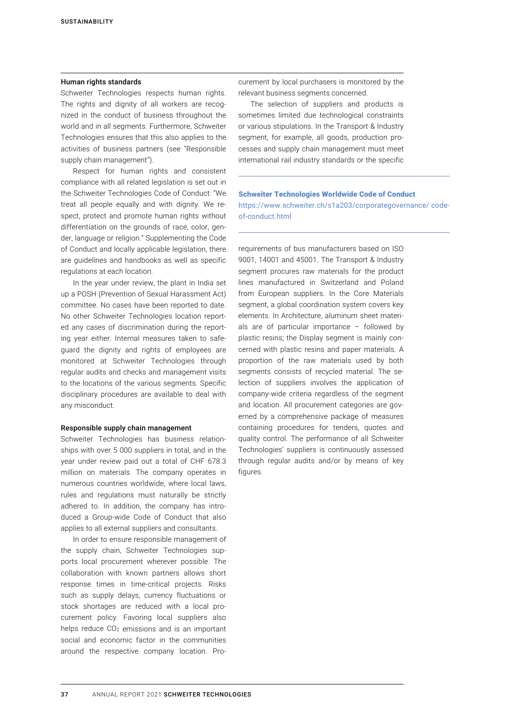#### Human rights standards

Schweiter Technologies respects human rights. The rights and dignity of all workers are recognized in the conduct of business throughout the world and in all segments. Furthermore, Schweiter Technologies ensures that this also applies to the activities of business partners (see "Responsible supply chain management").

Respect for human rights and consistent compliance with all related legislation is set out in the Schweiter Technologies Code of Conduct: "We treat all people equally and with dignity. We respect, protect and promote human rights without differentiation on the grounds of race, color, gender, language or religion." Supplementing the Code of Conduct and locally applicable legislation, there are guidelines and handbooks as well as specific regulations at each location.

In the year under review, the plant in India set up a POSH (Prevention of Sexual Harassment Act) committee. No cases have been reported to date. No other Schweiter Technologies location reported any cases of discrimination during the reporting year either. Internal measures taken to safeguard the dignity and rights of employees are monitored at Schweiter Technologies through regular audits and checks and management visits to the locations of the various segments. Specific disciplinary procedures are available to deal with any misconduct.

#### Responsible supply chain management

Schweiter Technologies has business relationships with over 5 000 suppliers in total, and in the year under review paid out a total of CHF 678.3 million on materials. The company operates in numerous countries worldwide, where local laws, rules and regulations must naturally be strictly adhered to. In addition, the company has introduced a Group-wide Code of Conduct that also applies to all external suppliers and consultants.

In order to ensure responsible management of the supply chain, Schweiter Technologies supports local procurement wherever possible. The collaboration with known partners allows short response times in time-critical projects. Risks such as supply delays, currency fluctuations or stock shortages are reduced with a local procurement policy. Favoring local suppliers also helps reduce  $CO<sub>2</sub>$  emissions and is an important social and economic factor in the communities around the respective company location. Procurement by local purchasers is monitored by the relevant business segments concerned.

The selection of suppliers and products is sometimes limited due technological constraints or various stipulations. In the Transport & Industry segment, for example, all goods, production processes and supply chain management must meet international rail industry standards or the specific

of-conduct.html

# Schweiter Technologies Worldwide Code of Conduct https://www.schweiter.ch/s1a203/corporategovernance/ code-

requirements of bus manufacturers based on ISO 9001, 14001 and 45001. The Transport & Industry segment procures raw materials for the product lines manufactured in Switzerland and Poland from European suppliers. In the Core Materials segment, a global coordination system covers key elements. In Architecture, aluminum sheet materials are of particular importance – followed by plastic resins; the Display segment is mainly concerned with plastic resins and paper materials. A proportion of the raw materials used by both segments consists of recycled material. The selection of suppliers involves the application of company-wide criteria regardless of the segment and location. All procurement categories are governed by a comprehensive package of measures containing procedures for tenders, quotes and quality control. The performance of all Schweiter Technologies' suppliers is continuously assessed through regular audits and/or by means of key figures.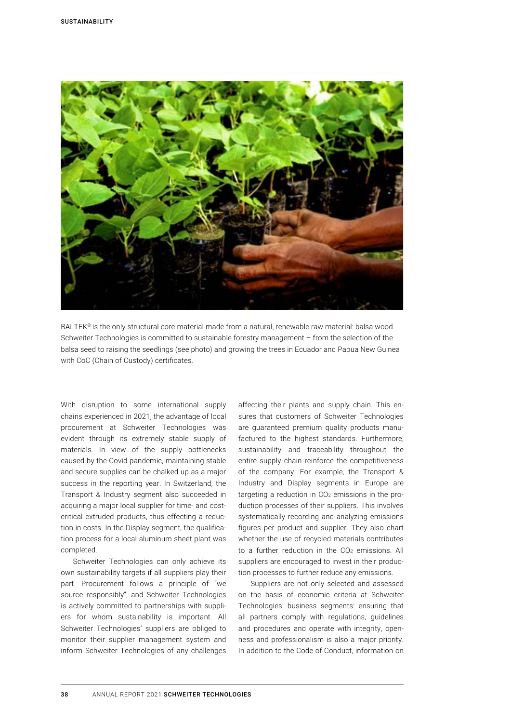

BALTEK® is the only structural core material made from a natural, renewable raw material: balsa wood. Schweiter Technologies is committed to sustainable forestry management – from the selection of the balsa seed to raising the seedlings (see photo) and growing the trees in Ecuador and Papua New Guinea with CoC (Chain of Custody) certificates.

With disruption to some international supply chains experienced in 2021, the advantage of local procurement at Schweiter Technologies was evident through its extremely stable supply of materials. In view of the supply bottlenecks caused by the Covid pandemic, maintaining stable and secure supplies can be chalked up as a major success in the reporting year. In Switzerland, the Transport & Industry segment also succeeded in acquiring a major local supplier for time- and costcritical extruded products, thus effecting a reduction in costs. In the Display segment, the qualification process for a local aluminum sheet plant was completed.

Schweiter Technologies can only achieve its own sustainability targets if all suppliers play their part. Procurement follows a principle of "we source responsibly", and Schweiter Technologies is actively committed to partnerships with suppliers for whom sustainability is important. All Schweiter Technologies' suppliers are obliged to monitor their supplier management system and inform Schweiter Technologies of any challenges

affecting their plants and supply chain. This ensures that customers of Schweiter Technologies are guaranteed premium quality products manufactured to the highest standards. Furthermore, sustainability and traceability throughout the entire supply chain reinforce the competitiveness of the company. For example, the Transport & Industry and Display segments in Europe are targeting a reduction in  $CO<sub>2</sub>$  emissions in the production processes of their suppliers. This involves systematically recording and analyzing emissions figures per product and supplier. They also chart whether the use of recycled materials contributes to a further reduction in the  $CO<sub>2</sub>$  emissions. All suppliers are encouraged to invest in their production processes to further reduce any emissions.

Suppliers are not only selected and assessed on the basis of economic criteria at Schweiter Technologies' business segments: ensuring that all partners comply with regulations, guidelines and procedures and operate with integrity, openness and professionalism is also a major priority. In addition to the Code of Conduct, information on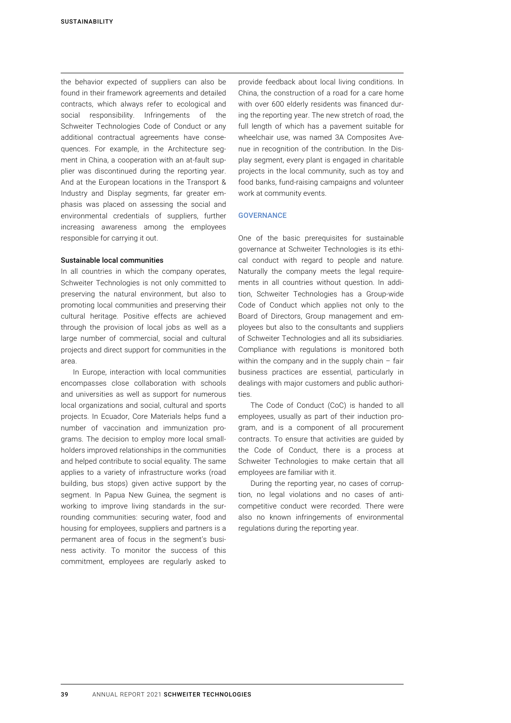<span id="page-16-0"></span>the behavior expected of suppliers can also be found in their framework agreements and detailed contracts, which always refer to ecological and social responsibility. Infringements of the Schweiter Technologies Code of Conduct or any additional contractual agreements have consequences. For example, in the Architecture segment in China, a cooperation with an at-fault supplier was discontinued during the reporting year. And at the European locations in the Transport & Industry and Display segments, far greater emphasis was placed on assessing the social and environmental credentials of suppliers, further increasing awareness among the employees responsible for carrying it out.

## Sustainable local communities

In all countries in which the company operates, Schweiter Technologies is not only committed to preserving the natural environment, but also to promoting local communities and preserving their cultural heritage. Positive effects are achieved through the provision of local jobs as well as a large number of commercial, social and cultural projects and direct support for communities in the area.

In Europe, interaction with local communities encompasses close collaboration with schools and universities as well as support for numerous local organizations and social, cultural and sports projects. In Ecuador, Core Materials helps fund a number of vaccination and immunization programs. The decision to employ more local smallholders improved relationships in the communities and helped contribute to social equality. The same applies to a variety of infrastructure works (road building, bus stops) given active support by the segment. In Papua New Guinea, the segment is working to improve living standards in the surrounding communities: securing water, food and housing for employees, suppliers and partners is a permanent area of focus in the segment's business activity. To monitor the success of this commitment, employees are regularly asked to

provide feedback about local living conditions. In China, the construction of a road for a care home with over 600 elderly residents was financed during the reporting year. The new stretch of road, the full length of which has a pavement suitable for wheelchair use, was named 3A Composites Avenue in recognition of the contribution. In the Display segment, every plant is engaged in charitable projects in the local community, such as toy and food banks, fund-raising campaigns and volunteer work at community events.

#### **GOVERNANCE**

One of the basic prerequisites for sustainable governance at Schweiter Technologies is its ethical conduct with regard to people and nature. Naturally the company meets the legal requirements in all countries without question. In addition, Schweiter Technologies has a Group-wide Code of Conduct which applies not only to the Board of Directors, Group management and employees but also to the consultants and suppliers of Schweiter Technologies and all its subsidiaries. Compliance with regulations is monitored both within the company and in the supply chain  $-$  fair business practices are essential, particularly in dealings with major customers and public authorities.

The Code of Conduct (CoC) is handed to all employees, usually as part of their induction program, and is a component of all procurement contracts. To ensure that activities are guided by the Code of Conduct, there is a process at Schweiter Technologies to make certain that all employees are familiar with it.

During the reporting year, no cases of corruption, no legal violations and no cases of anticompetitive conduct were recorded. There were also no known infringements of environmental regulations during the reporting year.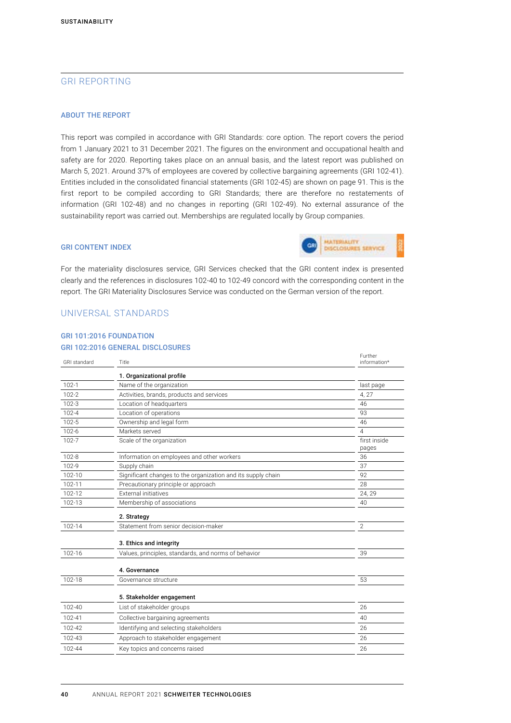# <span id="page-17-0"></span>GRI REPORTING

#### ABOUT THE REPORT

This report was compiled in accordance with GRI Standards: core option. The report covers the period from 1 January 2021 to 31 December 2021. The figures on the environment and occupational health and safety are for 2020. Reporting takes place on an annual basis, and the latest report was published on March 5, 2021. Around 37% of employees are covered by collective bargaining agreements (GRI 102-41). Entities included in the consolidated financial statements (GRI 102-45) are shown on page 91. This is the first report to be compiled according to GRI Standards; there are therefore no restatements of information (GRI 102-48) and no changes in reporting (GRI 102-49). No external assurance of the sustainability report was carried out. Memberships are regulated locally by Group companies.

## GRI CONTENT INDEX



For the materiality disclosures service, GRI Services checked that the GRI content index is presented clearly and the references in disclosures 102-40 to 102-49 concord with the corresponding content in the report. The GRI Materiality Disclosures Service was conducted on the German version of the report.

## UNIVERSAL STANDARDS

## GRI 101:2016 FOUNDATION GRI 102:2016 GENERAL DISCLOSURES

| <b>GRI</b> standard | Title                                                        | Further<br>information* |
|---------------------|--------------------------------------------------------------|-------------------------|
|                     | 1. Organizational profile                                    |                         |
| $102 - 1$           | Name of the organization                                     | last page               |
| $102 - 2$           | Activities, brands, products and services                    | 4, 27                   |
| $102 - 3$           | Location of headquarters                                     | 46                      |
| $102 - 4$           | Location of operations                                       | 93                      |
| $102 - 5$           | Ownership and legal form                                     | 46                      |
| $102 - 6$           | Markets served                                               | 4                       |
| $102 - 7$           | Scale of the organization                                    | first inside<br>pages   |
| $102 - 8$           | Information on employees and other workers                   | 36                      |
| 102-9               | Supply chain                                                 | 37                      |
| 102-10              | Significant changes to the organization and its supply chain | 92                      |
| 102-11              | Precautionary principle or approach                          | 28                      |
| 102-12              | <b>External initiatives</b>                                  | 24, 29                  |
| 102-13              | Membership of associations                                   | 40                      |
|                     | 2. Strategy                                                  |                         |
| 102-14              | Statement from senior decision-maker                         | $\overline{2}$          |
|                     | 3. Ethics and integrity                                      |                         |
| 102-16              | Values, principles, standards, and norms of behavior         | 39                      |
|                     | 4. Governance                                                |                         |
| 102-18              | Governance structure                                         | 53                      |
|                     | 5. Stakeholder engagement                                    |                         |
| 102-40              | List of stakeholder groups                                   | 26                      |
| 102-41              | Collective bargaining agreements                             | 40                      |
| 102-42              | Identifying and selecting stakeholders                       | 26                      |
| 102-43              | Approach to stakeholder engagement                           | 26                      |
| 102-44              | Key topics and concerns raised                               | 26                      |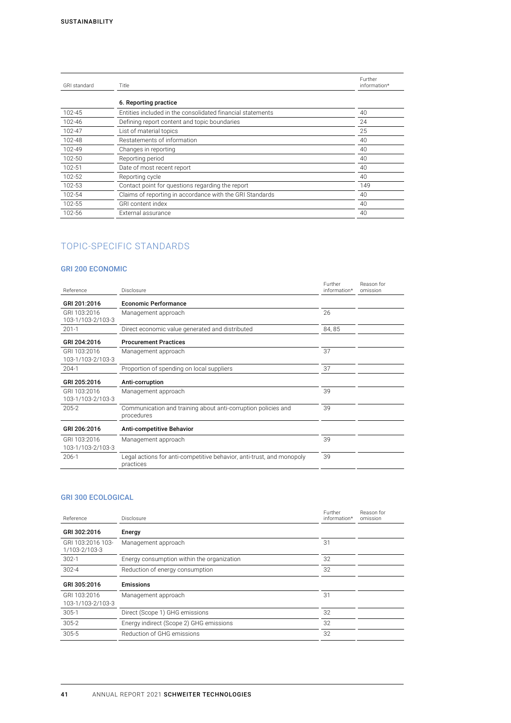| GRI standard | Title                                                      | Further<br>information* |
|--------------|------------------------------------------------------------|-------------------------|
|              | 6. Reporting practice                                      |                         |
| 102-45       | Entities included in the consolidated financial statements | 40                      |
| 102-46       | Defining report content and topic boundaries               | 24                      |
| 102-47       | List of material topics                                    | 25                      |
| 102-48       | Restatements of information                                | 40                      |
| 102-49       | Changes in reporting                                       | 40                      |
| 102-50       | Reporting period                                           | 40                      |
| 102-51       | Date of most recent report                                 | 40                      |
| 102-52       | Reporting cycle                                            | 40                      |
| 102-53       | Contact point for questions regarding the report           | 149                     |
| 102-54       | Claims of reporting in accordance with the GRI Standards   | 40                      |
| 102-55       | <b>GRI</b> content index                                   | 40                      |
| 102-56       | External assurance                                         | 40                      |
|              |                                                            |                         |

# TOPIC-SPECIFIC STANDARDS

# GRI 200 ECONOMIC

| Reference                         | Disclosure                                                                         | Further<br>information* | Reason for<br>omission |
|-----------------------------------|------------------------------------------------------------------------------------|-------------------------|------------------------|
| GRI 201:2016                      | <b>Economic Performance</b>                                                        |                         |                        |
| GRI 103:2016<br>103-1/103-2/103-3 | Management approach                                                                | 26                      |                        |
| $201-1$                           | Direct economic value generated and distributed                                    | 84, 85                  |                        |
| GRI 204:2016                      | <b>Procurement Practices</b>                                                       |                         |                        |
| GRI 103:2016<br>103-1/103-2/103-3 | Management approach                                                                | 37                      |                        |
| $204-1$                           | Proportion of spending on local suppliers                                          | 37                      |                        |
| GRI 205:2016                      | Anti-corruption                                                                    |                         |                        |
| GRI 103:2016<br>103-1/103-2/103-3 | Management approach                                                                | 39                      |                        |
| 205-2                             | Communication and training about anti-corruption policies and<br>procedures        | 39                      |                        |
| GRI 206:2016                      | Anti-competitive Behavior                                                          |                         |                        |
| GRI 103:2016<br>103-1/103-2/103-3 | Management approach                                                                | 39                      |                        |
| $206-1$                           | Legal actions for anti-competitive behavior, anti-trust, and monopoly<br>practices | 39                      |                        |

# GRI 300 ECOLOGICAL

| Reference                          | Disclosure                                 | Further<br>information* | Reason for<br>omission |
|------------------------------------|--------------------------------------------|-------------------------|------------------------|
| GRI 302:2016                       | Energy                                     |                         |                        |
| GRI 103:2016 103-<br>1/103-2/103-3 | Management approach                        | 31                      |                        |
| $302-1$                            | Energy consumption within the organization | 32                      |                        |
| $302 - 4$                          | Reduction of energy consumption            | 32                      |                        |
| GRI 305:2016                       | <b>Emissions</b>                           |                         |                        |
| GRI 103:2016<br>103-1/103-2/103-3  | Management approach                        | 31                      |                        |
| $305-1$                            | Direct (Scope 1) GHG emissions             | 32                      |                        |
| $305 - 2$                          | Energy indirect (Scope 2) GHG emissions    | 32                      |                        |
| 305-5                              | Reduction of GHG emissions                 | 32                      |                        |
|                                    |                                            |                         |                        |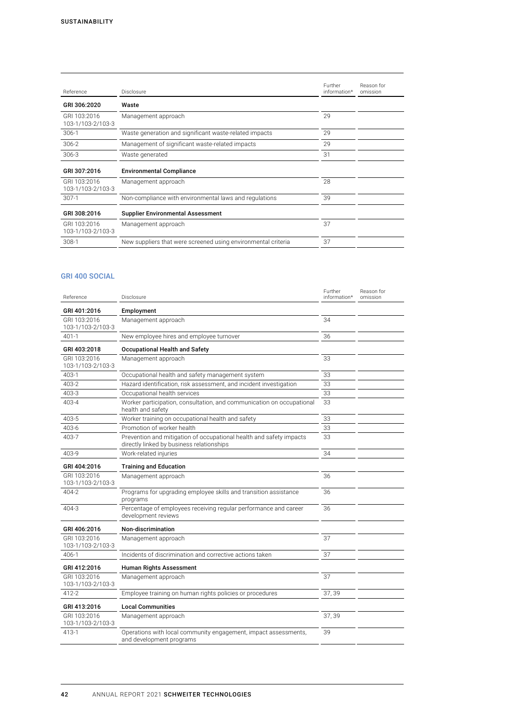| Reference                         | Disclosure                                                    | Further<br>information* | Reason for<br>omission |
|-----------------------------------|---------------------------------------------------------------|-------------------------|------------------------|
| GRI 306:2020                      | Waste                                                         |                         |                        |
| GRI 103:2016<br>103-1/103-2/103-3 | Management approach                                           | 29                      |                        |
| $306-1$                           | Waste generation and significant waste-related impacts        | 29                      |                        |
| $306 - 2$                         | Management of significant waste-related impacts               | 29                      |                        |
| $306 - 3$                         | Waste generated                                               | 31                      |                        |
| GRI 307:2016                      | <b>Environmental Compliance</b>                               |                         |                        |
| GRI 103:2016<br>103-1/103-2/103-3 | Management approach                                           | 28                      |                        |
| $307-1$                           | Non-compliance with environmental laws and regulations        | 39                      |                        |
| GRI 308:2016                      | <b>Supplier Environmental Assessment</b>                      |                         |                        |
| GRI 103:2016<br>103-1/103-2/103-3 | Management approach                                           | 37                      |                        |
| $308-1$                           | New suppliers that were screened using environmental criteria | 37                      |                        |

# GRI 400 SOCIAL

| Reference                         | Disclosure                                                                                                       | Further<br>information* | Reason for<br>omission |
|-----------------------------------|------------------------------------------------------------------------------------------------------------------|-------------------------|------------------------|
| GRI 401:2016                      | Employment                                                                                                       |                         |                        |
| GRI 103:2016<br>103-1/103-2/103-3 | Management approach                                                                                              | 34                      |                        |
| $401 - 1$                         | New employee hires and employee turnover                                                                         | 36                      |                        |
| GRI 403:2018                      | <b>Occupational Health and Safety</b>                                                                            |                         |                        |
| GRI 103:2016<br>103-1/103-2/103-3 | Management approach                                                                                              | 33                      |                        |
| 403-1                             | Occupational health and safety management system                                                                 | 33                      |                        |
| 403-2                             | Hazard identification, risk assessment, and incident investigation                                               | 33                      |                        |
| 403-3                             | Occupational health services                                                                                     | 33                      |                        |
| 403-4                             | Worker participation, consultation, and communication on occupational<br>health and safety                       | 33                      |                        |
| 403-5                             | Worker training on occupational health and safety                                                                | 33                      |                        |
| 403-6                             | Promotion of worker health                                                                                       | 33                      |                        |
| 403-7                             | Prevention and mitigation of occupational health and safety impacts<br>directly linked by business relationships | 33                      |                        |
| 403-9                             | Work-related injuries                                                                                            | 34                      |                        |
| GRI 404:2016                      | <b>Training and Education</b>                                                                                    |                         |                        |
| GRI 103:2016<br>103-1/103-2/103-3 | Management approach                                                                                              | 36                      |                        |
| 404-2                             | Programs for upgrading employee skills and transition assistance<br>programs                                     | 36                      |                        |
| 404-3                             | Percentage of employees receiving regular performance and career<br>development reviews                          | 36                      |                        |
| GRI 406:2016                      | Non-discrimination                                                                                               |                         |                        |
| GRI 103:2016<br>103-1/103-2/103-3 | Management approach                                                                                              | 37                      |                        |
| $406-1$                           | Incidents of discrimination and corrective actions taken                                                         | 37                      |                        |
| GRI 412:2016                      | <b>Human Rights Assessment</b>                                                                                   |                         |                        |
| GRI 103:2016<br>103-1/103-2/103-3 | Management approach                                                                                              | 37                      |                        |
| 412-2                             | Employee training on human rights policies or procedures                                                         | 37, 39                  |                        |
| GRI 413:2016                      | <b>Local Communities</b>                                                                                         |                         |                        |
| GRI 103:2016<br>103-1/103-2/103-3 | Management approach                                                                                              | 37, 39                  |                        |
| 413-1                             | Operations with local community engagement, impact assessments,<br>and development programs                      | 39                      |                        |
|                                   |                                                                                                                  |                         |                        |